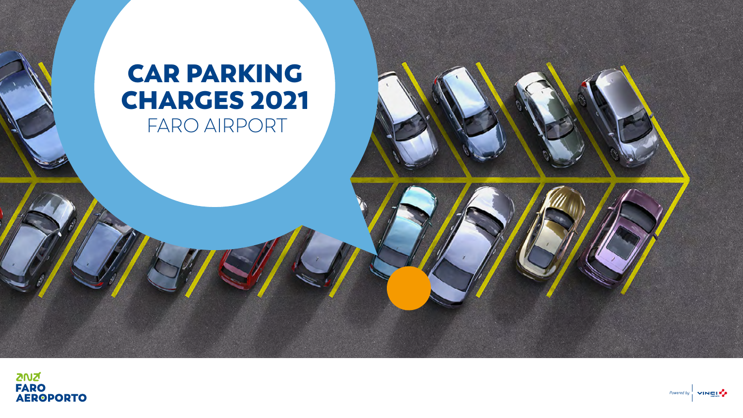# CAR PARKING CHARGES 2021 FARO AIRPORT

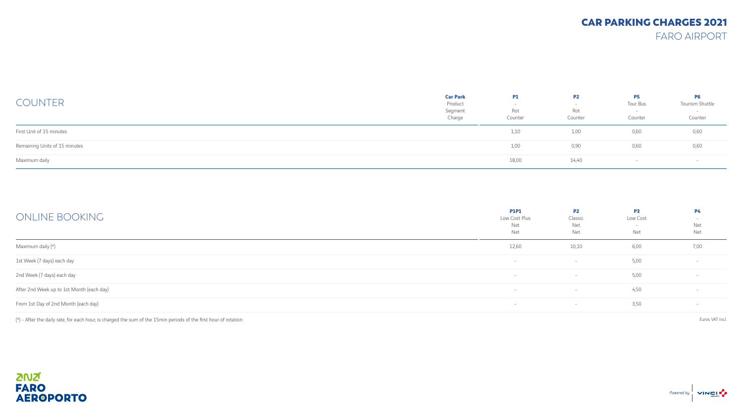## CAR PARKING CHARGES 2021

FARO AIRPORT

| <b>COUNTER</b>                | <b>Car Park</b><br>Product<br>Segment<br>Charge | <b>P1</b><br>Rot<br>Counter | P <sub>2</sub><br>Rot<br>Counter | P5<br>Tour Bus<br>Counter | <b>P6</b><br>Tourism Shuttle<br>$\overline{\phantom{0}}$<br>Counter |
|-------------------------------|-------------------------------------------------|-----------------------------|----------------------------------|---------------------------|---------------------------------------------------------------------|
| First Unit of 15 minutes      |                                                 | 1,10                        | 1,00                             | 0,60                      | 0,60                                                                |
| Remaining Units of 15 minutes |                                                 | 1,00                        | 0,90                             | 0,60                      | 0,60                                                                |
| Maximum daily                 |                                                 | 18,00                       | 14,40                            |                           |                                                                     |

| ONLINE BOOKING                            | <b>P1P1</b><br>Low Cost Plus<br>Net<br>Net | <b>P2</b><br>Classic<br>Net<br>Net | <b>P3</b><br>Low Cost<br>Net | <b>P4</b><br>Net<br>Net |
|-------------------------------------------|--------------------------------------------|------------------------------------|------------------------------|-------------------------|
| Maximum daily (*)                         | 12,60                                      | 10,10                              | 6,00                         | 7,00                    |
| 1st Week (7 days) each day                | $\overline{\phantom{0}}$                   | $\overline{\phantom{0}}$           | 5,00                         | $\sim$                  |
| 2nd Week (7 days) each day                |                                            | $\sim$                             | 5,00                         | $\sim$                  |
| After 2nd Week up to 1st Month (each day) |                                            | $\sim$                             | 4,50                         | $\sim$                  |
| From 1st Day of 2nd Month (each day)      |                                            | $\sim$                             | 3,50                         |                         |

(\*) - After the daily rate, for each hour, is charged the sum of the 15min periods of the first hour of rotation. Euros VAT Incl.

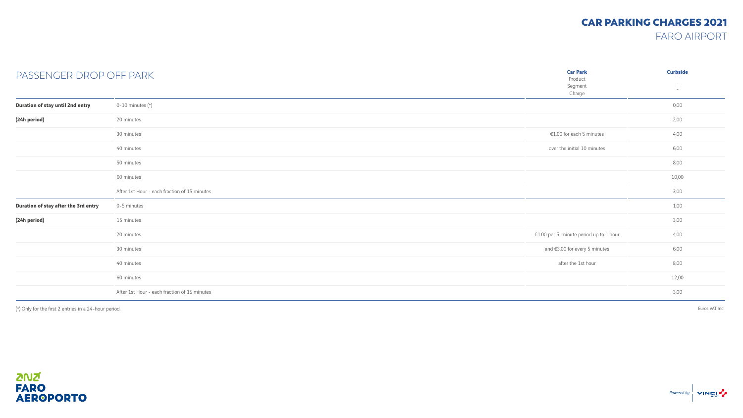### CAR PARKING CHARGES 2021

FARO AIRPORT

| PASSENGER DROP OFF PARK              |                                              | <b>Car Park</b><br>Product<br>Segment<br>Charge | <b>Curbside</b><br>$\sim$<br>$-$ |
|--------------------------------------|----------------------------------------------|-------------------------------------------------|----------------------------------|
| Duration of stay until 2nd entry     | 0-10 minutes $(*)$                           |                                                 | 0,00                             |
| (24h period)                         | 20 minutes                                   |                                                 | 2,00                             |
|                                      | 30 minutes                                   | €1.00 for each 5 minutes                        | 4,00                             |
|                                      | 40 minutes                                   | over the initial 10 minutes                     | 6,00                             |
|                                      | 50 minutes                                   |                                                 | 8,00                             |
|                                      | 60 minutes                                   |                                                 | 10,00                            |
|                                      | After 1st Hour - each fraction of 15 minutes |                                                 | 3,00                             |
| Duration of stay after the 3rd entry | 0-5 minutes                                  |                                                 | 1,00                             |
| (24h period)                         | 15 minutes                                   |                                                 | 3,00                             |
|                                      | 20 minutes                                   | €1.00 per 5-minute period up to 1 hour          | 4,00                             |
|                                      | 30 minutes                                   | and €3.00 for every 5 minutes                   | 6,00                             |
|                                      | 40 minutes                                   | after the 1st hour                              | 8,00                             |
|                                      | 60 minutes                                   |                                                 | 12,00                            |
|                                      | After 1st Hour - each fraction of 15 minutes |                                                 | 3,00                             |

(\*) Only for the first 2 entries in a 24-hour period. Euros VAT Incl.

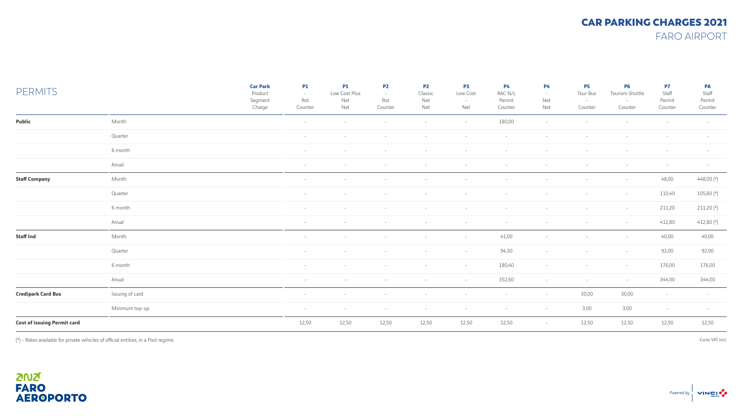#### CAR PARKING CHARGES 2021 FARO AIRPORT

| <b>PERMITS</b>                     |                 | <b>Car Park</b><br>Product<br>Segment<br>Charge | <b>P1</b><br>$\sim$<br>Rot<br>Counter | <b>P1</b><br>Low Cost Plus<br>Net<br>Net | <b>P2</b><br>$\sim$<br>Rot<br>Counter | P <sub>2</sub><br>Classic<br>Net<br>Net | P3<br>Low Cost<br>$\sim$<br>Net | <b>P4</b><br>RAC N/L<br>Permit<br>Counter | <b>P4</b><br>$\sim$<br>Net<br>Net | <b>P5</b><br>Tour Bus<br>$\sim$<br>Counter | <b>P6</b><br>Tourism Shuttle<br>$\sim$<br>Counter | P7<br>Staff<br>Permit<br>Counter | <b>PA</b><br>Staff<br>Permit<br>Counter |
|------------------------------------|-----------------|-------------------------------------------------|---------------------------------------|------------------------------------------|---------------------------------------|-----------------------------------------|---------------------------------|-------------------------------------------|-----------------------------------|--------------------------------------------|---------------------------------------------------|----------------------------------|-----------------------------------------|
| Public                             | Month           |                                                 | $\sim$                                | $\sim$                                   | $\sim$                                | $\sim$                                  | $\sim$                          | 180,00                                    | $\sim$                            |                                            |                                                   |                                  | $\overline{a}$                          |
|                                    | Quarter         |                                                 | $\sim$                                | $\sim$                                   | $\sim$                                | $\sim$                                  | $\sim$                          | $-$                                       | $\sim$                            | $\sim$                                     | $\sim$                                            | $-$                              | $-$                                     |
|                                    | 6 month         |                                                 | $\sim$                                | $\sim$                                   | $\sim$                                | $\sim$                                  | $\sim$                          | $\overline{a}$                            | $\sim$                            | $\sim$                                     | $\overline{\phantom{a}}$                          | $-$                              | $-$                                     |
|                                    | Anual           |                                                 | $\sim$                                | $\sim$                                   | $\sim$                                | $\sim$                                  | $\sim$                          | $\overline{\phantom{a}}$                  |                                   |                                            |                                                   | $\sim$                           | $-$                                     |
| <b>Staff Company</b>               | Month           |                                                 | $\sim$                                | $\sim$                                   | $\sim$                                | $\sim$                                  | $\sim$                          | $\sim$                                    | $\sim$                            | $\sim$                                     | $\sim$                                            | 48,00                            | 448,00 (*)                              |
|                                    | Quarter         |                                                 | $\sim$                                | $\sim$                                   | $\sim$                                | $\overline{\phantom{a}}$                | $\sim$                          | $\sim$                                    | $\sim$                            | $\sim$                                     | $\sim$                                            | 110,40                           | 105,60 (*)                              |
|                                    | 6 month         |                                                 | $\sim$                                | $\sim$                                   | $\sim$                                | $\sim$                                  | $\sim$                          | $\overline{a}$                            | $\sim$                            | $\sim$                                     | $\sim$                                            | 211,20                           | 211,20 (*)                              |
|                                    | Anual           |                                                 | $\sim$                                | $\sim$                                   | $\sim$                                | $\sim$                                  | $\sim$                          | $\sim$                                    | $\sim$                            | $\sim$                                     | $\sim$                                            | 412,80                           | 412,80 (*)                              |
| <b>Staff Ind</b>                   | Month           |                                                 | $\sim$                                | $\sim$                                   | $\sim$                                | $\sim$                                  | $\sim$                          | 41,00                                     | $\sim$                            | $-$                                        | $-$                                               | 40,00                            | 40,00                                   |
|                                    | Quarter         |                                                 | $\sim$                                | $\sim$                                   | $\sim$                                | $\sim$                                  | $\sim$                          | 94,30                                     | $\sim$                            | $\sim$                                     | $\sim$                                            | 92,00                            | 92,00                                   |
|                                    | 6 month         |                                                 | $\sim$                                | $\sim$                                   | $\sim$                                | $\sim$                                  | $\sim$                          | 180,40                                    | $\sim$                            | $\sim$                                     | $\sim$                                            | 176,00                           | 176,00                                  |
|                                    | Anual           |                                                 | $\sim$                                | $\sim$                                   | $\sim$                                | $\sim$                                  | $\sim$                          | 352,60                                    | $\sim$                            | $\sim$                                     | $-$                                               | 344,00                           | 344,00                                  |
| <b>Credipark Card Bus</b>          | Issuing of card |                                                 | $\sim$                                | $\sim$                                   | $\sim$                                | $\sim$                                  | $\sim$                          | $\sim$                                    | $\sim$                            | 30,00                                      | 30,00                                             | $\sim$                           | $-$                                     |
|                                    | Minimum top-up  |                                                 | $\sim$                                | $\sim$                                   | $\sim$                                | $\sim$                                  | $\sim$                          | $-$                                       | $-$                               | 3,00                                       | 3,00                                              | $\sim$                           | $-$                                     |
| <b>Cost of issuing Permit card</b> |                 |                                                 | 12,50                                 | 12,50                                    | 12,50                                 | 12,50                                   | 12,50                           | 12,50                                     | $\sim$                            | 12,50                                      | 12,50                                             | 12,50                            | 12,50                                   |
|                                    |                 |                                                 |                                       |                                          |                                       |                                         |                                 |                                           |                                   |                                            |                                                   |                                  |                                         |

(\*) - Rates available for private vehicles of official entities, in a Pool regime. Euros VAT Incl.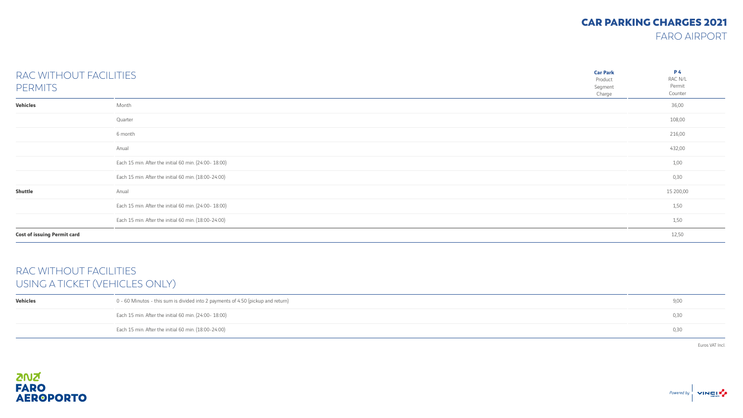#### CAR PARKING CHARGES 2021

FARO AIRPORT

| RAC WITHOUT FACILITIES<br><b>PERMITS</b> |                                                       | <b>Car Park</b><br>Product<br>Segment<br>Charge | <b>P4</b><br>RAC N/L<br>Permit<br>Counter |
|------------------------------------------|-------------------------------------------------------|-------------------------------------------------|-------------------------------------------|
| <b>Vehicles</b>                          | Month                                                 |                                                 | 36,00                                     |
|                                          | Quarter                                               |                                                 | 108,00                                    |
|                                          | 6 month                                               |                                                 | 216,00                                    |
|                                          | Anual                                                 |                                                 | 432,00                                    |
|                                          | Each 15 min. After the initial 60 min. (24:00-18:00)  |                                                 | 1,00                                      |
|                                          | Each 15 min. After the initial 60 min. (18:00-24:00)  |                                                 | 0,30                                      |
| <b>Shuttle</b>                           | Anual                                                 |                                                 | 15 200,00                                 |
|                                          | Each 15 min. After the initial 60 min. (24:00- 18:00) |                                                 | 1,50                                      |
|                                          | Each 15 min. After the initial 60 min. (18:00-24:00)  |                                                 | 1,50                                      |
| <b>Cost of issuing Permit card</b>       |                                                       |                                                 | 12,50                                     |

#### RAC WITHOUT FACILITIES USING A TICKET (VEHICLES ONLY)

| Vehicles | 0 - 60 Minutos - this sum is divided into 2 payments of 4.50 (pickup and return) | 9,00 |
|----------|----------------------------------------------------------------------------------|------|
|          | Each 15 min. After the initial 60 min. (24:00- 18:00)                            | 0.30 |
|          | Each 15 min. After the initial 60 min. (18:00-24:00)                             | 0,30 |

Euros VAT Incl.